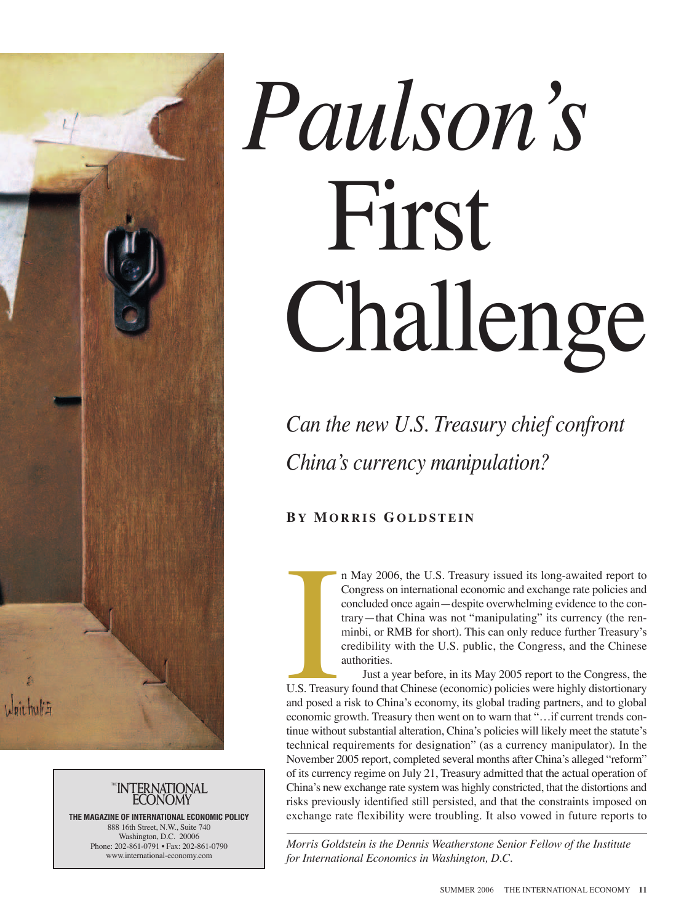



**THE MAGAZINE OF INTERNATIONAL ECONOMIC POLICY** 888 16th Street, N.W., Suite 740 Washington, D.C. 20006 Phone: 202-861-0791 • Fax: 202-861-0790 www.international-economy.com

## *Paulson's* First Challenge

*Can the new U.S. Treasury chief confront China's currency manipulation?*

## **B Y MORRIS GOLDSTEIN**

n May 2006, the U.S. Treasury issued its long-awaited report to Congress on international economic and exchange rate policies and concluded once again—despite overwhelming evidence to the contrary—that China was not "manipulating" its currency (the renminbi, or RMB for short). This can only reduce further Treasury's credibility with the U.S. public, the Congress, and the Chinese authorities.

Just a year before, in its May 2005 report to the Congress, the U.S. Treasury found that Chinese (economic) policies were highly distortionary and posed a risk to China's economy, its global trading partners, and to global economic growth. Treasury then went on to warn that "…if current trends continue without substantial alteration, China's policies will likely meet the statute's technical requirements for designation" (as a currency manipulator). In the November 2005 report, completed several months after China's alleged "reform" of its currency regime on July 21, Treasury admitted that the actual operation of China's new exchange rate system was highly constricted, that the distortions and risks previously identified still persisted, and that the constraints imposed on exchange rate flexibility were troubling. It also vowed in future reports to IS. Treasure

*Morris Goldstein is the Dennis Weatherstone Senior Fellow of the Institute for International Economics in Washington, D.C.*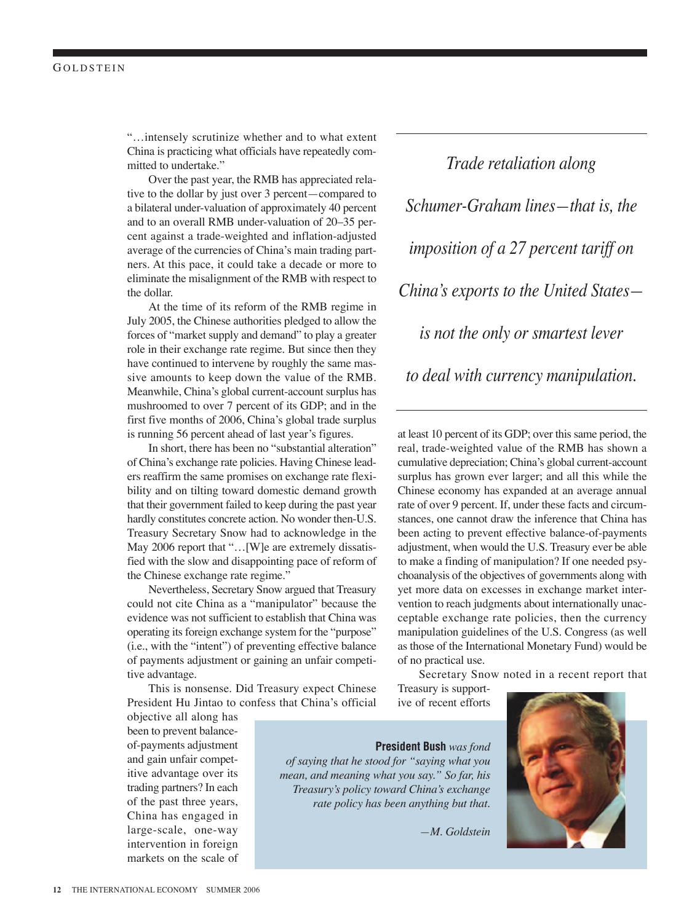## **GOLDSTEIN**

"…intensely scrutinize whether and to what extent China is practicing what officials have repeatedly committed to undertake."

Over the past year, the RMB has appreciated relative to the dollar by just over 3 percent—compared to a bilateral under-valuation of approximately 40 percent and to an overall RMB under-valuation of 20–35 percent against a trade-weighted and inflation-adjusted average of the currencies of China's main trading partners. At this pace, it could take a decade or more to eliminate the misalignment of the RMB with respect to the dollar.

At the time of its reform of the RMB regime in July 2005, the Chinese authorities pledged to allow the forces of "market supply and demand" to play a greater role in their exchange rate regime. But since then they have continued to intervene by roughly the same massive amounts to keep down the value of the RMB. Meanwhile, China's global current-account surplus has mushroomed to over 7 percent of its GDP; and in the first five months of 2006, China's global trade surplus is running 56 percent ahead of last year's figures.

In short, there has been no "substantial alteration" of China's exchange rate policies. Having Chinese leaders reaffirm the same promises on exchange rate flexibility and on tilting toward domestic demand growth that their government failed to keep during the past year hardly constitutes concrete action. No wonder then-U.S. Treasury Secretary Snow had to acknowledge in the May 2006 report that "…[W]e are extremely dissatisfied with the slow and disappointing pace of reform of the Chinese exchange rate regime."

Nevertheless, Secretary Snow argued that Treasury could not cite China as a "manipulator" because the evidence was not sufficient to establish that China was operating its foreign exchange system for the "purpose" (i.e., with the "intent") of preventing effective balance of payments adjustment or gaining an unfair competitive advantage.

This is nonsense. Did Treasury expect Chinese President Hu Jintao to confess that China's official

objective all along has been to prevent balanceof-payments adjustment and gain unfair competitive advantage over its trading partners? In each of the past three years, China has engaged in large-scale, one-way intervention in foreign markets on the scale of

*Trade retaliation along Schumer-Graham lines—that is, the imposition of a 27 percent tariff on China's exports to the United States is not the only or smartest lever to deal with currency manipulation.*

at least 10 percent of its GDP; over this same period, the real, trade-weighted value of the RMB has shown a cumulative depreciation; China's global current-account surplus has grown ever larger; and all this while the Chinese economy has expanded at an average annual rate of over 9 percent. If, under these facts and circumstances, one cannot draw the inference that China has been acting to prevent effective balance-of-payments adjustment, when would the U.S. Treasury ever be able to make a finding of manipulation? If one needed psychoanalysis of the objectives of governments along with yet more data on excesses in exchange market intervention to reach judgments about internationally unacceptable exchange rate policies, then the currency manipulation guidelines of the U.S. Congress (as well as those of the International Monetary Fund) would be of no practical use.

Secretary Snow noted in a recent report that

Treasury is supportive of recent efforts



*of saying that he stood for "saying what you mean, and meaning what you say." So far, his Treasury's policy toward China's exchange rate policy has been anything but that.*

*—M. Goldstein*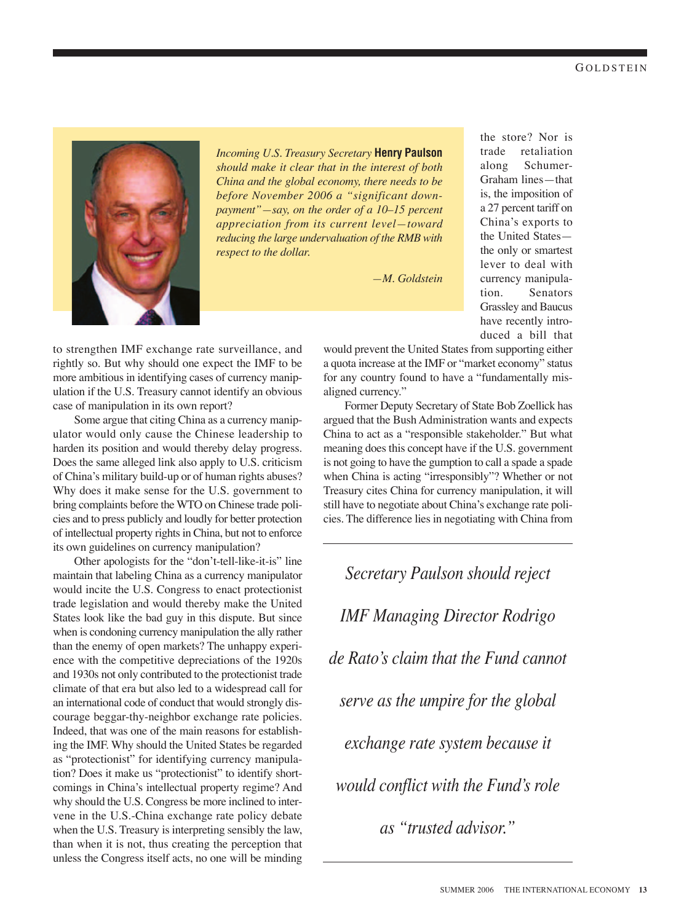the store? Nor is trade retaliation along Schumer-Graham lines—that is, the imposition of a 27 percent tariff on China's exports to the United States the only or smartest lever to deal with currency manipulation. Senators Grassley and Baucus have recently introduced a bill that



*Incoming U.S. Treasury Secretary* **Henry Paulson** *should make it clear that in the interest of both China and the global economy, there needs to be before November 2006 a "significant downpayment"—say, on the order of a 10–15 percent appreciation from its current level—toward reducing the large undervaluation of the RMB with respect to the dollar.* 

*—M. Goldstein*

to strengthen IMF exchange rate surveillance, and rightly so. But why should one expect the IMF to be more ambitious in identifying cases of currency manipulation if the U.S. Treasury cannot identify an obvious case of manipulation in its own report?

Some argue that citing China as a currency manipulator would only cause the Chinese leadership to harden its position and would thereby delay progress. Does the same alleged link also apply to U.S. criticism of China's military build-up or of human rights abuses? Why does it make sense for the U.S. government to bring complaints before the WTO on Chinese trade policies and to press publicly and loudly for better protection of intellectual property rights in China, but not to enforce its own guidelines on currency manipulation?

Other apologists for the "don't-tell-like-it-is" line maintain that labeling China as a currency manipulator would incite the U.S. Congress to enact protectionist trade legislation and would thereby make the United States look like the bad guy in this dispute. But since when is condoning currency manipulation the ally rather than the enemy of open markets? The unhappy experience with the competitive depreciations of the 1920s and 1930s not only contributed to the protectionist trade climate of that era but also led to a widespread call for an international code of conduct that would strongly discourage beggar-thy-neighbor exchange rate policies. Indeed, that was one of the main reasons for establishing the IMF. Why should the United States be regarded as "protectionist" for identifying currency manipulation? Does it make us "protectionist" to identify shortcomings in China's intellectual property regime? And why should the U.S. Congress be more inclined to intervene in the U.S.-China exchange rate policy debate when the U.S. Treasury is interpreting sensibly the law, than when it is not, thus creating the perception that unless the Congress itself acts, no one will be minding

would prevent the United States from supporting either a quota increase at the IMF or "market economy" status for any country found to have a "fundamentally misaligned currency."

Former Deputy Secretary of State Bob Zoellick has argued that the Bush Administration wants and expects China to act as a "responsible stakeholder." But what meaning does this concept have if the U.S. government is not going to have the gumption to call a spade a spade when China is acting "irresponsibly"? Whether or not Treasury cites China for currency manipulation, it will still have to negotiate about China's exchange rate policies. The difference lies in negotiating with China from

*Secretary Paulson should reject IMF Managing Director Rodrigo de Rato's claim that the Fund cannot serve as the umpire for the global exchange rate system because it would conflict with the Fund's role as "trusted advisor."*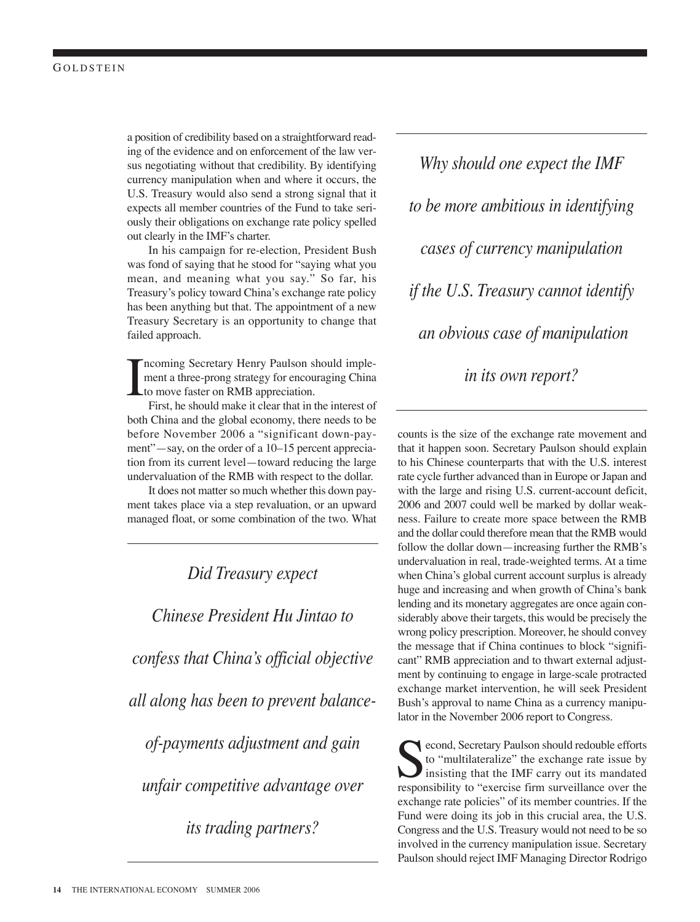a position of credibility based on a straightforward reading of the evidence and on enforcement of the law versus negotiating without that credibility. By identifying currency manipulation when and where it occurs, the U.S. Treasury would also send a strong signal that it expects all member countries of the Fund to take seriously their obligations on exchange rate policy spelled out clearly in the IMF's charter.

In his campaign for re-election, President Bush was fond of saying that he stood for "saying what you mean, and meaning what you say." So far, his Treasury's policy toward China's exchange rate policy has been anything but that. The appointment of a new Treasury Secretary is an opportunity to change that failed approach.

I ncoming Secretary Henry Paulson should implement a three-prong strategy for encouraging China to move faster on RMB appreciation.

First, he should make it clear that in the interest of both China and the global economy, there needs to be before November 2006 a "significant down-payment"—say, on the order of a 10–15 percent appreciation from its current level—toward reducing the large undervaluation of the RMB with respect to the dollar.

It does not matter so much whether this down payment takes place via a step revaluation, or an upward managed float, or some combination of the two. What

*Did Treasury expect Chinese President Hu Jintao to confess that China's official objective all along has been to prevent balanceof-payments adjustment and gain unfair competitive advantage over its trading partners?*

*Why should one expect the IMF to be more ambitious in identifying cases of currency manipulation if the U.S. Treasury cannot identify an obvious case of manipulation in its own report?* 

counts is the size of the exchange rate movement and that it happen soon. Secretary Paulson should explain to his Chinese counterparts that with the U.S. interest rate cycle further advanced than in Europe or Japan and with the large and rising U.S. current-account deficit, 2006 and 2007 could well be marked by dollar weakness. Failure to create more space between the RMB and the dollar could therefore mean that the RMB would follow the dollar down—increasing further the RMB's undervaluation in real, trade-weighted terms. At a time when China's global current account surplus is already huge and increasing and when growth of China's bank lending and its monetary aggregates are once again considerably above their targets, this would be precisely the wrong policy prescription. Moreover, he should convey the message that if China continues to block "significant" RMB appreciation and to thwart external adjustment by continuing to engage in large-scale protracted exchange market intervention, he will seek President Bush's approval to name China as a currency manipulator in the November 2006 report to Congress.

cond, Secretary Paulson should redouble efforts to "multilateralize" the exchange rate issue by insisting that the IMF carry out its mandated responsibility to "exercise firm surveillance over the exchange rate policies" of its member countries. If the Fund were doing its job in this crucial area, the U.S. Congress and the U.S. Treasury would not need to be so involved in the currency manipulation issue. Secretary Paulson should reject IMF Managing Director Rodrigo